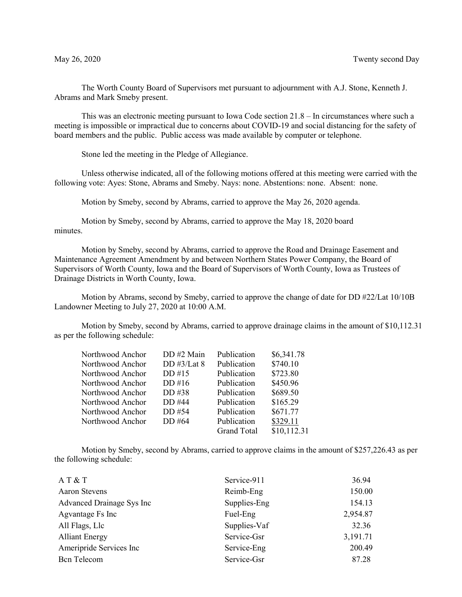The Worth County Board of Supervisors met pursuant to adjournment with A.J. Stone, Kenneth J. Abrams and Mark Smeby present.

This was an electronic meeting pursuant to Iowa Code section 21.8 – In circumstances where such a meeting is impossible or impractical due to concerns about COVID-19 and social distancing for the safety of board members and the public. Public access was made available by computer or telephone.

Stone led the meeting in the Pledge of Allegiance.

Unless otherwise indicated, all of the following motions offered at this meeting were carried with the following vote: Ayes: Stone, Abrams and Smeby. Nays: none. Abstentions: none. Absent: none.

Motion by Smeby, second by Abrams, carried to approve the May 26, 2020 agenda.

Motion by Smeby, second by Abrams, carried to approve the May 18, 2020 board minutes.

Motion by Smeby, second by Abrams, carried to approve the Road and Drainage Easement and Maintenance Agreement Amendment by and between Northern States Power Company, the Board of Supervisors of Worth County, Iowa and the Board of Supervisors of Worth County, Iowa as Trustees of Drainage Districts in Worth County, Iowa.

Motion by Abrams, second by Smeby, carried to approve the change of date for DD #22/Lat 10/10B Landowner Meeting to July 27, 2020 at 10:00 A.M.

Motion by Smeby, second by Abrams, carried to approve drainage claims in the amount of \$10,112.31 as per the following schedule:

| DD#2 Main      | Publication        | \$6,341.78  |
|----------------|--------------------|-------------|
| DD $\#3/Lat 8$ | Publication        | \$740.10    |
| DD#15          | Publication        | \$723.80    |
| DD#16          | Publication        | \$450.96    |
| DD #38         | Publication        | \$689.50    |
| DD #44         | Publication        | \$165.29    |
| DD #54         | Publication        | \$671.77    |
| DD #64         | Publication        | \$329.11    |
|                | <b>Grand Total</b> | \$10,112.31 |
|                |                    |             |

Motion by Smeby, second by Abrams, carried to approve claims in the amount of \$257,226.43 as per the following schedule:

| AT & T                    | Service-911  | 36.94    |
|---------------------------|--------------|----------|
| <b>Aaron Stevens</b>      | Reimb-Eng    | 150.00   |
| Advanced Drainage Sys Inc | Supplies-Eng | 154.13   |
| Agvantage Fs Inc          | Fuel-Eng     | 2,954.87 |
| All Flags, Llc            | Supplies-Vaf | 32.36    |
| <b>Alliant Energy</b>     | Service-Gsr  | 3,191.71 |
| Ameripride Services Inc   | Service-Eng  | 200.49   |
| Bcn Telecom               | Service-Gsr  | 87.28    |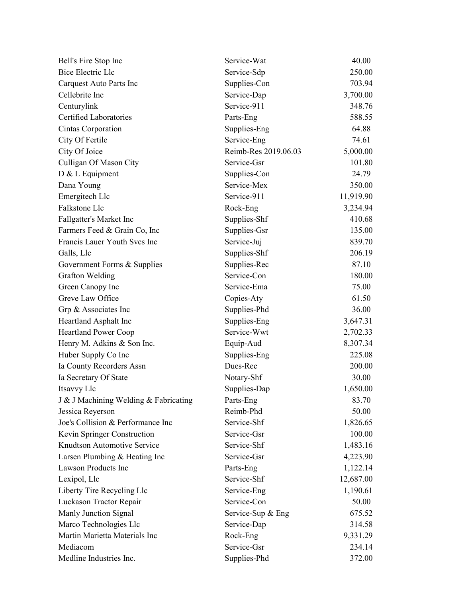| Bell's Fire Stop Inc                  | Service-Wat          | 40.00     |
|---------------------------------------|----------------------|-----------|
| <b>Bice Electric Llc</b>              | Service-Sdp          | 250.00    |
| Carquest Auto Parts Inc               | Supplies-Con         | 703.94    |
| Cellebrite Inc                        | Service-Dap          | 3,700.00  |
| Centurylink                           | Service-911          | 348.76    |
| Certified Laboratories                | Parts-Eng            | 588.55    |
| Cintas Corporation                    | Supplies-Eng         | 64.88     |
| City Of Fertile                       | Service-Eng          | 74.61     |
| City Of Joice                         | Reimb-Res 2019.06.03 | 5,000.00  |
| Culligan Of Mason City                | Service-Gsr          | 101.80    |
| D & L Equipment                       | Supplies-Con         | 24.79     |
| Dana Young                            | Service-Mex          | 350.00    |
| Emergitech Llc                        | Service-911          | 11,919.90 |
| Falkstone Llc                         | Rock-Eng             | 3,234.94  |
| Fallgatter's Market Inc               | Supplies-Shf         | 410.68    |
| Farmers Feed & Grain Co, Inc          | Supplies-Gsr         | 135.00    |
| Francis Lauer Youth Svcs Inc          | Service-Juj          | 839.70    |
| Galls, Llc                            | Supplies-Shf         | 206.19    |
| Government Forms & Supplies           | Supplies-Rec         | 87.10     |
| Grafton Welding                       | Service-Con          | 180.00    |
| Green Canopy Inc                      | Service-Ema          | 75.00     |
| Greve Law Office                      | Copies-Aty           | 61.50     |
| Grp & Associates Inc                  | Supplies-Phd         | 36.00     |
| Heartland Asphalt Inc                 | Supplies-Eng         | 3,647.31  |
| <b>Heartland Power Coop</b>           | Service-Wwt          | 2,702.33  |
| Henry M. Adkins & Son Inc.            | Equip-Aud            | 8,307.34  |
| Huber Supply Co Inc                   | Supplies-Eng         | 225.08    |
| Ia County Recorders Assn              | Dues-Rec             | 200.00    |
| Ia Secretary Of State                 | Notary-Shf           | 30.00     |
| Itsavvy Llc                           | Supplies-Dap         | 1,650.00  |
| J & J Machining Welding & Fabricating | Parts-Eng            | 83.70     |
| Jessica Reyerson                      | Reimb-Phd            | 50.00     |
| Joe's Collision & Performance Inc     | Service-Shf          | 1,826.65  |
| Kevin Springer Construction           | Service-Gsr          | 100.00    |
| Knudtson Automotive Service           | Service-Shf          | 1,483.16  |
| Larsen Plumbing & Heating Inc         | Service-Gsr          | 4,223.90  |
| Lawson Products Inc                   | Parts-Eng            | 1,122.14  |
| Lexipol, Llc                          | Service-Shf          | 12,687.00 |
| Liberty Tire Recycling Llc            | Service-Eng          | 1,190.61  |
| Luckason Tractor Repair               | Service-Con          | 50.00     |
| Manly Junction Signal                 | Service-Sup & Eng    | 675.52    |
| Marco Technologies Llc                | Service-Dap          | 314.58    |
| Martin Marietta Materials Inc         | Rock-Eng             | 9,331.29  |
| Mediacom                              | Service-Gsr          | 234.14    |
| Medline Industries Inc.               | Supplies-Phd         | 372.00    |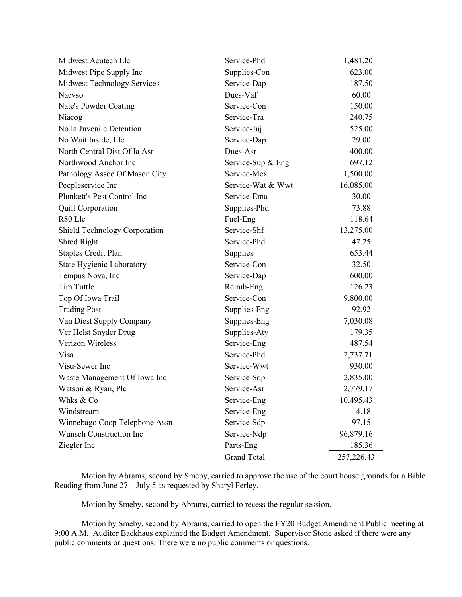| Midwest Acutech Llc              | Service-Phd        | 1,481.20   |
|----------------------------------|--------------------|------------|
| Midwest Pipe Supply Inc          | Supplies-Con       | 623.00     |
| Midwest Technology Services      | Service-Dap        | 187.50     |
| <b>Nacyso</b>                    | Dues-Vaf           | 60.00      |
| Nate's Powder Coating            | Service-Con        | 150.00     |
| Niacog                           | Service-Tra        | 240.75     |
| No Ia Juvenile Detention         | Service-Juj        | 525.00     |
| No Wait Inside, Llc              | Service-Dap        | 29.00      |
| North Central Dist Of Ia Asr     | Dues-Asr           | 400.00     |
| Northwood Anchor Inc             | Service-Sup & Eng  | 697.12     |
| Pathology Assoc Of Mason City    | Service-Mex        | 1,500.00   |
| Peopleservice Inc                | Service-Wat & Wwt  | 16,085.00  |
| Plunkett's Pest Control Inc      | Service-Ema        | 30.00      |
| <b>Quill Corporation</b>         | Supplies-Phd       | 73.88      |
| R80 Llc                          | Fuel-Eng           | 118.64     |
| Shield Technology Corporation    | Service-Shf        | 13,275.00  |
| Shred Right                      | Service-Phd        | 47.25      |
| <b>Staples Credit Plan</b>       | Supplies           | 653.44     |
| <b>State Hygienic Laboratory</b> | Service-Con        | 32.50      |
| Tempus Nova, Inc                 | Service-Dap        | 600.00     |
| Tim Tuttle                       | Reimb-Eng          | 126.23     |
| Top Of Iowa Trail                | Service-Con        | 9,800.00   |
| <b>Trading Post</b>              | Supplies-Eng       | 92.92      |
| Van Diest Supply Company         | Supplies-Eng       | 7,030.08   |
| Ver Helst Snyder Drug            | Supplies-Aty       | 179.35     |
| Verizon Wireless                 | Service-Eng        | 487.54     |
| Visa                             | Service-Phd        | 2,737.71   |
| Visu-Sewer Inc                   | Service-Wwt        | 930.00     |
| Waste Management Of Iowa Inc     | Service-Sdp        | 2,835.00   |
| Watson & Ryan, Plc               | Service-Asr        | 2,779.17   |
| Whks & Co                        | Service-Eng        | 10,495.43  |
| Windstream                       | Service-Eng        | 14.18      |
| Winnebago Coop Telephone Assn    | Service-Sdp        | 97.15      |
| <b>Wunsch Construction Inc</b>   | Service-Ndp        | 96,879.16  |
| Ziegler Inc                      | Parts-Eng          | 185.36     |
|                                  | <b>Grand Total</b> | 257,226.43 |

Motion by Abrams, second by Smeby, carried to approve the use of the court house grounds for a Bible Reading from June 27 – July 5 as requested by Sharyl Ferley.

Motion by Smeby, second by Abrams, carried to recess the regular session.

Motion by Smeby, second by Abrams, carried to open the FY20 Budget Amendment Public meeting at 9:00 A.M. Auditor Backhaus explained the Budget Amendment. Supervisor Stone asked if there were any public comments or questions. There were no public comments or questions.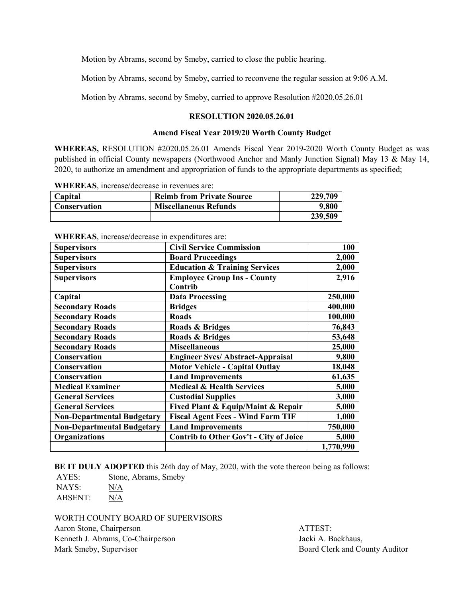Motion by Abrams, second by Smeby, carried to close the public hearing.

Motion by Abrams, second by Smeby, carried to reconvene the regular session at 9:06 A.M.

Motion by Abrams, second by Smeby, carried to approve Resolution #2020.05.26.01

## **RESOLUTION 2020.05.26.01**

## **Amend Fiscal Year 2019/20 Worth County Budget**

**WHEREAS,** RESOLUTION #2020.05.26.01 Amends Fiscal Year 2019-2020 Worth County Budget as was published in official County newspapers (Northwood Anchor and Manly Junction Signal) May 13 & May 14, 2020, to authorize an amendment and appropriation of funds to the appropriate departments as specified;

| <b>Capital</b> | <b>Reimb from Private Source</b> | 229,709 |
|----------------|----------------------------------|---------|
| Conservation   | <b>Miscellaneous Refunds</b>     | 9,800   |
|                |                                  | 239,509 |

**WHEREAS**, increase/decrease in revenues are:

| <b>Supervisors</b>                | <b>Civil Service Commission</b>               | 100       |
|-----------------------------------|-----------------------------------------------|-----------|
| <b>Supervisors</b>                | <b>Board Proceedings</b>                      | 2,000     |
|                                   |                                               |           |
| <b>Supervisors</b>                | <b>Education &amp; Training Services</b>      | 2,000     |
| <b>Supervisors</b>                | <b>Employee Group Ins - County</b>            | 2,916     |
|                                   | Contrib                                       |           |
| Capital                           | <b>Data Processing</b>                        | 250,000   |
| <b>Secondary Roads</b>            | <b>Bridges</b>                                | 400,000   |
| <b>Secondary Roads</b>            | <b>Roads</b>                                  | 100,000   |
| <b>Secondary Roads</b>            | Roads & Bridges                               | 76,843    |
| <b>Secondary Roads</b>            | Roads & Bridges                               | 53,648    |
| <b>Secondary Roads</b>            | <b>Miscellaneous</b>                          | 25,000    |
| <b>Conservation</b>               | <b>Engineer Svcs/ Abstract-Appraisal</b>      | 9,800     |
| Conservation                      | <b>Motor Vehicle - Capital Outlay</b>         | 18,048    |
| <b>Conservation</b>               | <b>Land Improvements</b>                      | 61,635    |
| <b>Medical Examiner</b>           | <b>Medical &amp; Health Services</b>          | 5,000     |
| <b>General Services</b>           | <b>Custodial Supplies</b>                     | 3,000     |
| <b>General Services</b>           | Fixed Plant & Equip/Maint & Repair            | 5,000     |
| <b>Non-Departmental Budgetary</b> | <b>Fiscal Agent Fees - Wind Farm TIF</b>      | 1,000     |
| <b>Non-Departmental Budgetary</b> | <b>Land Improvements</b>                      | 750,000   |
| <b>Organizations</b>              | <b>Contrib to Other Gov't - City of Joice</b> | 5,000     |
|                                   |                                               | 1,770,990 |

**WHEREAS**, increase/decrease in expenditures are:

**BE IT DULY ADOPTED** this 26th day of May, 2020, with the vote thereon being as follows:

AYES: Stone, Abrams, Smeby NAYS: N/A ABSENT: N/A

WORTH COUNTY BOARD OF SUPERVISORS

Aaron Stone, Chairperson **ATTEST:** Kenneth J. Abrams, Co-Chairperson Jacki A. Backhaus, Mark Smeby, Supervisor **Board Clerk and County Auditor** Board Clerk and County Auditor